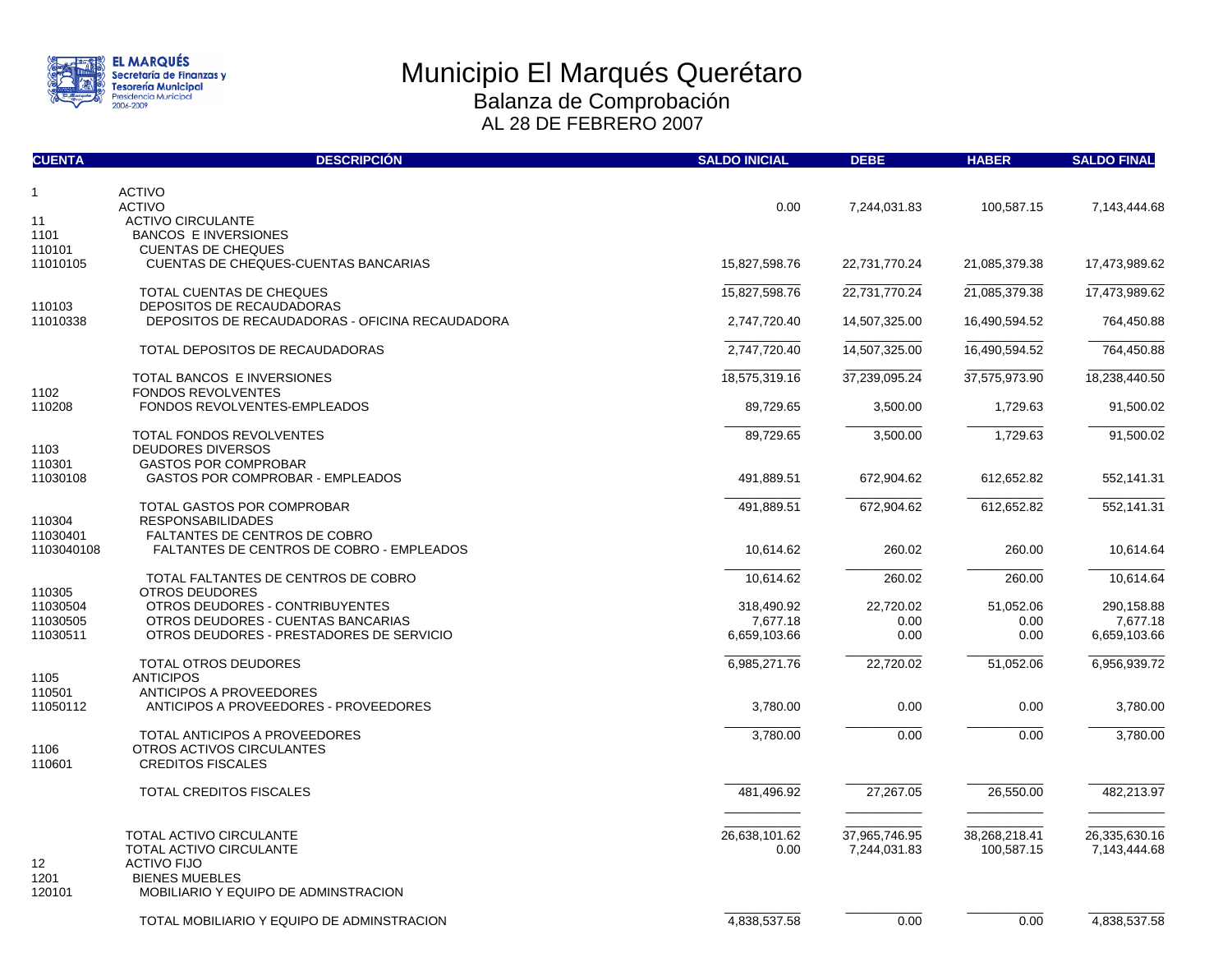

| <b>CUENTA</b>      | <b>DESCRIPCIÓN</b>                                                | <b>SALDO INICIAL</b>  | <b>DEBE</b>                   | <b>HABER</b>                | <b>SALDO FINAL</b>            |
|--------------------|-------------------------------------------------------------------|-----------------------|-------------------------------|-----------------------------|-------------------------------|
| $\mathbf{1}$       | <b>ACTIVO</b>                                                     |                       |                               |                             |                               |
|                    | <b>ACTIVO</b>                                                     | 0.00                  | 7,244,031.83                  | 100,587.15                  | 7,143,444.68                  |
| 11                 | <b>ACTIVO CIRCULANTE</b>                                          |                       |                               |                             |                               |
| 1101               | <b>BANCOS E INVERSIONES</b>                                       |                       |                               |                             |                               |
| 110101<br>11010105 | <b>CUENTAS DE CHEQUES</b><br>CUENTAS DE CHEQUES-CUENTAS BANCARIAS | 15,827,598.76         | 22,731,770.24                 | 21,085,379.38               | 17,473,989.62                 |
|                    |                                                                   |                       |                               |                             |                               |
|                    | TOTAL CUENTAS DE CHEQUES                                          | 15,827,598.76         | 22,731,770.24                 | 21,085,379.38               | 17,473,989.62                 |
| 110103             | DEPOSITOS DE RECAUDADORAS                                         |                       |                               |                             |                               |
| 11010338           | DEPOSITOS DE RECAUDADORAS - OFICINA RECAUDADORA                   | 2,747,720.40          | 14,507,325.00                 | 16,490,594.52               | 764,450.88                    |
|                    | TOTAL DEPOSITOS DE RECAUDADORAS                                   | 2,747,720.40          | 14,507,325.00                 | 16,490,594.52               | 764,450.88                    |
|                    |                                                                   |                       |                               |                             |                               |
|                    | TOTAL BANCOS E INVERSIONES                                        | 18,575,319.16         | 37,239,095.24                 | 37,575,973.90               | 18,238,440.50                 |
| 1102               | <b>FONDOS REVOLVENTES</b>                                         |                       |                               |                             |                               |
| 110208             | FONDOS REVOLVENTES-EMPLEADOS                                      | 89,729.65             | 3,500.00                      | 1,729.63                    | 91,500.02                     |
|                    | TOTAL FONDOS REVOLVENTES                                          | 89,729.65             | 3,500.00                      | 1,729.63                    | 91,500.02                     |
| 1103               | <b>DEUDORES DIVERSOS</b>                                          |                       |                               |                             |                               |
| 110301             | <b>GASTOS POR COMPROBAR</b>                                       |                       |                               |                             |                               |
| 11030108           | <b>GASTOS POR COMPROBAR - EMPLEADOS</b>                           | 491,889.51            | 672,904.62                    | 612,652.82                  | 552,141.31                    |
|                    | TOTAL GASTOS POR COMPROBAR                                        | 491,889.51            | 672,904.62                    | 612,652.82                  | 552,141.31                    |
| 110304             | <b>RESPONSABILIDADES</b>                                          |                       |                               |                             |                               |
| 11030401           | <b>FALTANTES DE CENTROS DE COBRO</b>                              |                       |                               |                             |                               |
| 1103040108         | <b>FALTANTES DE CENTROS DE COBRO - EMPLEADOS</b>                  | 10,614.62             | 260.02                        | 260.00                      | 10,614.64                     |
|                    | TOTAL FALTANTES DE CENTROS DE COBRO                               | 10,614.62             | 260.02                        | 260.00                      | 10,614.64                     |
| 110305             | <b>OTROS DEUDORES</b>                                             |                       |                               |                             |                               |
| 11030504           | OTROS DEUDORES - CONTRIBUYENTES                                   | 318,490.92            | 22,720.02                     | 51,052.06                   | 290,158.88                    |
| 11030505           | OTROS DEUDORES - CUENTAS BANCARIAS                                | 7,677.18              | 0.00                          | 0.00                        | 7,677.18                      |
| 11030511           | OTROS DEUDORES - PRESTADORES DE SERVICIO                          | 6,659,103.66          | 0.00                          | 0.00                        | 6,659,103.66                  |
|                    |                                                                   |                       |                               |                             |                               |
| 1105               | <b>TOTAL OTROS DEUDORES</b><br><b>ANTICIPOS</b>                   | 6,985,271.76          | 22,720.02                     | 51,052.06                   | 6,956,939.72                  |
| 110501             | ANTICIPOS A PROVEEDORES                                           |                       |                               |                             |                               |
| 11050112           | ANTICIPOS A PROVEEDORES - PROVEEDORES                             | 3,780.00              | 0.00                          | 0.00                        | 3,780.00                      |
|                    |                                                                   |                       |                               |                             |                               |
|                    | TOTAL ANTICIPOS A PROVEEDORES                                     | 3,780.00              | 0.00                          | 0.00                        | 3,780.00                      |
| 1106               | OTROS ACTIVOS CIRCULANTES                                         |                       |                               |                             |                               |
| 110601             | <b>CREDITOS FISCALES</b>                                          |                       |                               |                             |                               |
|                    | <b>TOTAL CREDITOS FISCALES</b>                                    | 481,496.92            | 27,267.05                     | 26,550.00                   | 482,213.97                    |
|                    |                                                                   |                       |                               |                             |                               |
|                    |                                                                   |                       |                               |                             |                               |
|                    | <b>TOTAL ACTIVO CIRCULANTE</b><br>TOTAL ACTIVO CIRCULANTE         | 26,638,101.62<br>0.00 | 37,965,746.95<br>7,244,031.83 | 38,268,218.41<br>100,587.15 | 26,335,630.16<br>7,143,444.68 |
| 12                 | <b>ACTIVO FIJO</b>                                                |                       |                               |                             |                               |
| 1201               | <b>BIENES MUEBLES</b>                                             |                       |                               |                             |                               |
| 120101             | MOBILIARIO Y EQUIPO DE ADMINSTRACION                              |                       |                               |                             |                               |
|                    |                                                                   |                       |                               |                             |                               |
|                    | TOTAL MOBILIARIO Y EQUIPO DE ADMINSTRACION                        | 4,838,537.58          | 0.00                          | 0.00                        | 4,838,537.58                  |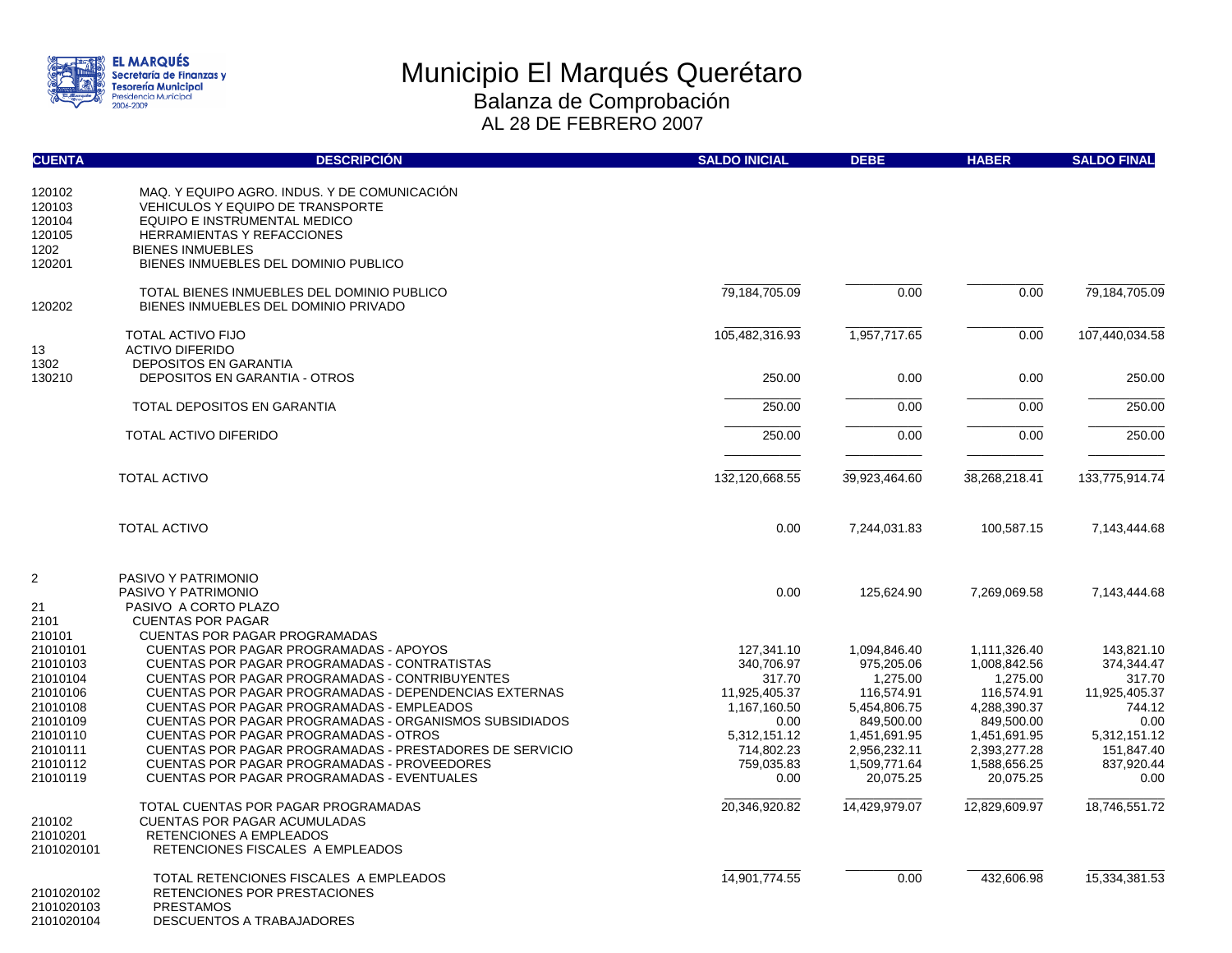

| <b>CUENTA</b>                                                                                                                  | <b>DESCRIPCIÓN</b>                                                                                                                                                                                                                                                                                                                                                                                                                                                                                                                                                                                 | <b>SALDO INICIAL</b>                                                                                                            | <b>DEBE</b>                                                                                                                                     | <b>HABER</b>                                                                                                                                      | <b>SALDO FINAL</b>                                                                                                        |
|--------------------------------------------------------------------------------------------------------------------------------|----------------------------------------------------------------------------------------------------------------------------------------------------------------------------------------------------------------------------------------------------------------------------------------------------------------------------------------------------------------------------------------------------------------------------------------------------------------------------------------------------------------------------------------------------------------------------------------------------|---------------------------------------------------------------------------------------------------------------------------------|-------------------------------------------------------------------------------------------------------------------------------------------------|---------------------------------------------------------------------------------------------------------------------------------------------------|---------------------------------------------------------------------------------------------------------------------------|
| 120102<br>120103<br>120104<br>120105<br>1202<br>120201                                                                         | MAQ. Y EQUIPO AGRO. INDUS. Y DE COMUNICACIÓN<br><b>VEHICULOS Y EQUIPO DE TRANSPORTE</b><br>EQUIPO E INSTRUMENTAL MEDICO<br><b>HERRAMIENTAS Y REFACCIONES</b><br><b>BIENES INMUEBLES</b><br>BIENES INMUEBLES DEL DOMINIO PUBLICO                                                                                                                                                                                                                                                                                                                                                                    |                                                                                                                                 |                                                                                                                                                 |                                                                                                                                                   |                                                                                                                           |
| 120202                                                                                                                         | TOTAL BIENES INMUEBLES DEL DOMINIO PUBLICO<br>BIENES INMUEBLES DEL DOMINIO PRIVADO                                                                                                                                                                                                                                                                                                                                                                                                                                                                                                                 | 79,184,705.09                                                                                                                   | 0.00                                                                                                                                            | 0.00                                                                                                                                              | 79, 184, 705.09                                                                                                           |
| 13                                                                                                                             | <b>TOTAL ACTIVO FIJO</b><br><b>ACTIVO DIFERIDO</b>                                                                                                                                                                                                                                                                                                                                                                                                                                                                                                                                                 | 105,482,316.93                                                                                                                  | 1,957,717.65                                                                                                                                    | 0.00                                                                                                                                              | 107,440,034.58                                                                                                            |
| 1302<br>130210                                                                                                                 | <b>DEPOSITOS EN GARANTIA</b><br><b>DEPOSITOS EN GARANTIA - OTROS</b>                                                                                                                                                                                                                                                                                                                                                                                                                                                                                                                               | 250.00                                                                                                                          | 0.00                                                                                                                                            | 0.00                                                                                                                                              | 250.00                                                                                                                    |
|                                                                                                                                | TOTAL DEPOSITOS EN GARANTIA                                                                                                                                                                                                                                                                                                                                                                                                                                                                                                                                                                        | 250.00                                                                                                                          | 0.00                                                                                                                                            | 0.00                                                                                                                                              | 250.00                                                                                                                    |
|                                                                                                                                | TOTAL ACTIVO DIFERIDO                                                                                                                                                                                                                                                                                                                                                                                                                                                                                                                                                                              | 250.00                                                                                                                          | 0.00                                                                                                                                            | 0.00                                                                                                                                              | 250.00                                                                                                                    |
|                                                                                                                                | <b>TOTAL ACTIVO</b>                                                                                                                                                                                                                                                                                                                                                                                                                                                                                                                                                                                | 132,120,668.55                                                                                                                  | 39,923,464.60                                                                                                                                   | 38,268,218.41                                                                                                                                     | 133,775,914.74                                                                                                            |
|                                                                                                                                | <b>TOTAL ACTIVO</b>                                                                                                                                                                                                                                                                                                                                                                                                                                                                                                                                                                                | 0.00                                                                                                                            | 7,244,031.83                                                                                                                                    | 100,587.15                                                                                                                                        | 7,143,444.68                                                                                                              |
| $\overline{c}$<br>21<br>2101                                                                                                   | PASIVO Y PATRIMONIO<br>PASIVO Y PATRIMONIO<br>PASIVO A CORTO PLAZO<br><b>CUENTAS POR PAGAR</b>                                                                                                                                                                                                                                                                                                                                                                                                                                                                                                     | 0.00                                                                                                                            | 125,624.90                                                                                                                                      | 7,269,069.58                                                                                                                                      | 7,143,444.68                                                                                                              |
| 210101<br>21010101<br>21010103<br>21010104<br>21010106<br>21010108<br>21010109<br>21010110<br>21010111<br>21010112<br>21010119 | <b>CUENTAS POR PAGAR PROGRAMADAS</b><br><b>CUENTAS POR PAGAR PROGRAMADAS - APOYOS</b><br>CUENTAS POR PAGAR PROGRAMADAS - CONTRATISTAS<br><b>CUENTAS POR PAGAR PROGRAMADAS - CONTRIBUYENTES</b><br><b>CUENTAS POR PAGAR PROGRAMADAS - DEPENDENCIAS EXTERNAS</b><br>CUENTAS POR PAGAR PROGRAMADAS - EMPLEADOS<br><b>CUENTAS POR PAGAR PROGRAMADAS - ORGANISMOS SUBSIDIADOS</b><br><b>CUENTAS POR PAGAR PROGRAMADAS - OTROS</b><br>CUENTAS POR PAGAR PROGRAMADAS - PRESTADORES DE SERVICIO<br><b>CUENTAS POR PAGAR PROGRAMADAS - PROVEEDORES</b><br><b>CUENTAS POR PAGAR PROGRAMADAS - EVENTUALES</b> | 127,341.10<br>340,706.97<br>317.70<br>11,925,405.37<br>1,167,160.50<br>0.00<br>5,312,151.12<br>714,802.23<br>759,035.83<br>0.00 | 1,094,846.40<br>975,205.06<br>1,275.00<br>116,574.91<br>5,454,806.75<br>849.500.00<br>1,451,691.95<br>2,956,232.11<br>1,509,771.64<br>20,075.25 | 1,111,326.40<br>1,008,842.56<br>1,275.00<br>116,574.91<br>4,288,390.37<br>849.500.00<br>1,451,691.95<br>2,393,277.28<br>1,588,656.25<br>20,075.25 | 143,821.10<br>374,344.47<br>317.70<br>11,925,405.37<br>744.12<br>0.00<br>5,312,151.12<br>151,847.40<br>837,920.44<br>0.00 |
| 210102<br>21010201<br>2101020101                                                                                               | TOTAL CUENTAS POR PAGAR PROGRAMADAS<br><b>CUENTAS POR PAGAR ACUMULADAS</b><br><b>RETENCIONES A EMPLEADOS</b><br>RETENCIONES FISCALES A EMPLEADOS                                                                                                                                                                                                                                                                                                                                                                                                                                                   | 20,346,920.82                                                                                                                   | 14,429,979.07                                                                                                                                   | 12,829,609.97                                                                                                                                     | 18,746,551.72                                                                                                             |
| 2101020102<br>2101020103<br>2101020104                                                                                         | TOTAL RETENCIONES FISCALES A EMPLEADOS<br>RETENCIONES POR PRESTACIONES<br><b>PRESTAMOS</b><br>DESCUENTOS A TRABAJADORES                                                                                                                                                                                                                                                                                                                                                                                                                                                                            | 14,901,774.55                                                                                                                   | 0.00                                                                                                                                            | 432,606.98                                                                                                                                        | 15,334,381.53                                                                                                             |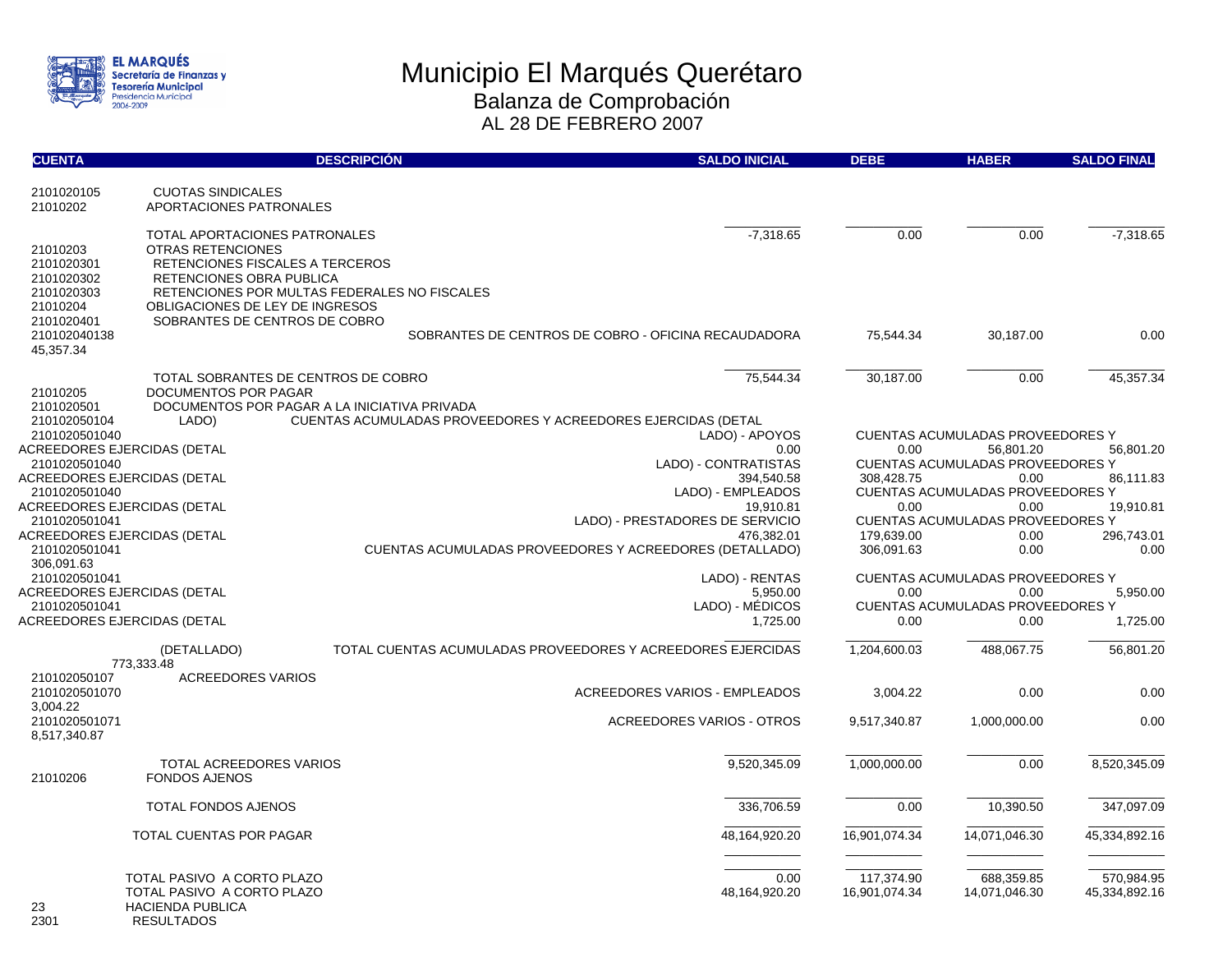

| <b>CUENTA</b>                                                  | <b>DESCRIPCIÓN</b>                                                                                                                                                                                   | <b>SALDO INICIAL</b>                                                      | <b>DEBE</b>                 | <b>HABER</b>                            | <b>SALDO FINAL</b>          |
|----------------------------------------------------------------|------------------------------------------------------------------------------------------------------------------------------------------------------------------------------------------------------|---------------------------------------------------------------------------|-----------------------------|-----------------------------------------|-----------------------------|
| 2101020105<br>21010202                                         | <b>CUOTAS SINDICALES</b><br>APORTACIONES PATRONALES                                                                                                                                                  |                                                                           |                             |                                         |                             |
| 21010203<br>2101020301<br>2101020302<br>2101020303<br>21010204 | TOTAL APORTACIONES PATRONALES<br>OTRAS RETENCIONES<br>RETENCIONES FISCALES A TERCEROS<br>RETENCIONES OBRA PUBLICA<br>RETENCIONES POR MULTAS FEDERALES NO FISCALES<br>OBLIGACIONES DE LEY DE INGRESOS | $-7,318.65$                                                               | 0.00                        | 0.00                                    | $-7,318.65$                 |
| 2101020401<br>210102040138<br>45,357.34                        | SOBRANTES DE CENTROS DE COBRO                                                                                                                                                                        | SOBRANTES DE CENTROS DE COBRO - OFICINA RECAUDADORA                       | 75,544.34                   | 30,187.00                               | 0.00                        |
| 21010205<br>2101020501<br>210102050104                         | TOTAL SOBRANTES DE CENTROS DE COBRO<br>DOCUMENTOS POR PAGAR<br>DOCUMENTOS POR PAGAR A LA INICIATIVA PRIVADA<br>LADO)                                                                                 | 75,544.34<br>CUENTAS ACUMULADAS PROVEEDORES Y ACREEDORES EJERCIDAS (DETAL | 30,187.00                   | 0.00                                    | 45,357.34                   |
| 2101020501040                                                  |                                                                                                                                                                                                      | LADO) - APOYOS                                                            |                             | <b>CUENTAS ACUMULADAS PROVEEDORES Y</b> |                             |
| ACREEDORES EJERCIDAS (DETAL                                    |                                                                                                                                                                                                      | 0.00                                                                      | 0.00                        | 56,801.20                               | 56,801.20                   |
| 2101020501040                                                  |                                                                                                                                                                                                      | LADO) - CONTRATISTAS                                                      |                             | <b>CUENTAS ACUMULADAS PROVEEDORES Y</b> |                             |
| ACREEDORES EJERCIDAS (DETAL                                    |                                                                                                                                                                                                      | 394,540.58                                                                | 308,428.75                  | 0.00                                    | 86,111.83                   |
| 2101020501040                                                  |                                                                                                                                                                                                      | LADO) - EMPLEADOS                                                         |                             | <b>CUENTAS ACUMULADAS PROVEEDORES Y</b> |                             |
| ACREEDORES EJERCIDAS (DETAL                                    |                                                                                                                                                                                                      | 19.910.81                                                                 | 0.00                        | 0.00                                    | 19.910.81                   |
| 2101020501041                                                  |                                                                                                                                                                                                      | LADO) - PRESTADORES DE SERVICIO                                           |                             | <b>CUENTAS ACUMULADAS PROVEEDORES Y</b> |                             |
| ACREEDORES EJERCIDAS (DETAL                                    |                                                                                                                                                                                                      | 476.382.01                                                                | 179.639.00                  | 0.00                                    | 296,743.01                  |
| 2101020501041<br>306,091.63                                    |                                                                                                                                                                                                      | <b>CUENTAS ACUMULADAS PROVEEDORES Y ACREEDORES (DETALLADO)</b>            | 306,091.63                  | 0.00                                    | 0.00                        |
| 2101020501041                                                  |                                                                                                                                                                                                      | LADO) - RENTAS                                                            |                             | CUENTAS ACUMULADAS PROVEEDORES Y        |                             |
| ACREEDORES EJERCIDAS (DETAL                                    |                                                                                                                                                                                                      | 5,950.00                                                                  | 0.00                        | 0.00                                    | 5,950.00                    |
| 2101020501041                                                  |                                                                                                                                                                                                      | LADO) - MÉDICOS                                                           |                             | <b>CUENTAS ACUMULADAS PROVEEDORES Y</b> |                             |
| ACREEDORES EJERCIDAS (DETAL                                    |                                                                                                                                                                                                      | 1,725.00                                                                  | 0.00                        | 0.00                                    | 1,725.00                    |
| 210102050107                                                   | (DETALLADO)<br>773,333.48<br><b>ACREEDORES VARIOS</b>                                                                                                                                                | TOTAL CUENTAS ACUMULADAS PROVEEDORES Y ACREEDORES EJERCIDAS               | 1,204,600.03                | 488,067.75                              | 56,801.20                   |
| 2101020501070<br>3.004.22                                      |                                                                                                                                                                                                      | <b>ACREEDORES VARIOS - EMPLEADOS</b>                                      | 3,004.22                    | 0.00                                    | 0.00                        |
| 2101020501071<br>8,517,340.87                                  |                                                                                                                                                                                                      | <b>ACREEDORES VARIOS - OTROS</b>                                          | 9,517,340.87                | 1,000,000.00                            | 0.00                        |
| 21010206                                                       | TOTAL ACREEDORES VARIOS<br><b>FONDOS AJENOS</b>                                                                                                                                                      | 9,520,345.09                                                              | 1,000,000.00                | 0.00                                    | 8,520,345.09                |
|                                                                | <b>TOTAL FONDOS AJENOS</b>                                                                                                                                                                           | 336.706.59                                                                | 0.00                        | 10,390.50                               | 347,097.09                  |
|                                                                | TOTAL CUENTAS POR PAGAR                                                                                                                                                                              | 48,164,920.20                                                             | 16,901,074.34               | 14,071,046.30                           | 45,334,892.16               |
| 23<br>2301                                                     | TOTAL PASIVO A CORTO PLAZO<br>TOTAL PASIVO A CORTO PLAZO<br><b>HACIENDA PUBLICA</b><br><b>RESULTADOS</b>                                                                                             | 0.00<br>48,164,920.20                                                     | 117,374.90<br>16,901,074.34 | 688,359.85<br>14,071,046.30             | 570,984.95<br>45,334,892.16 |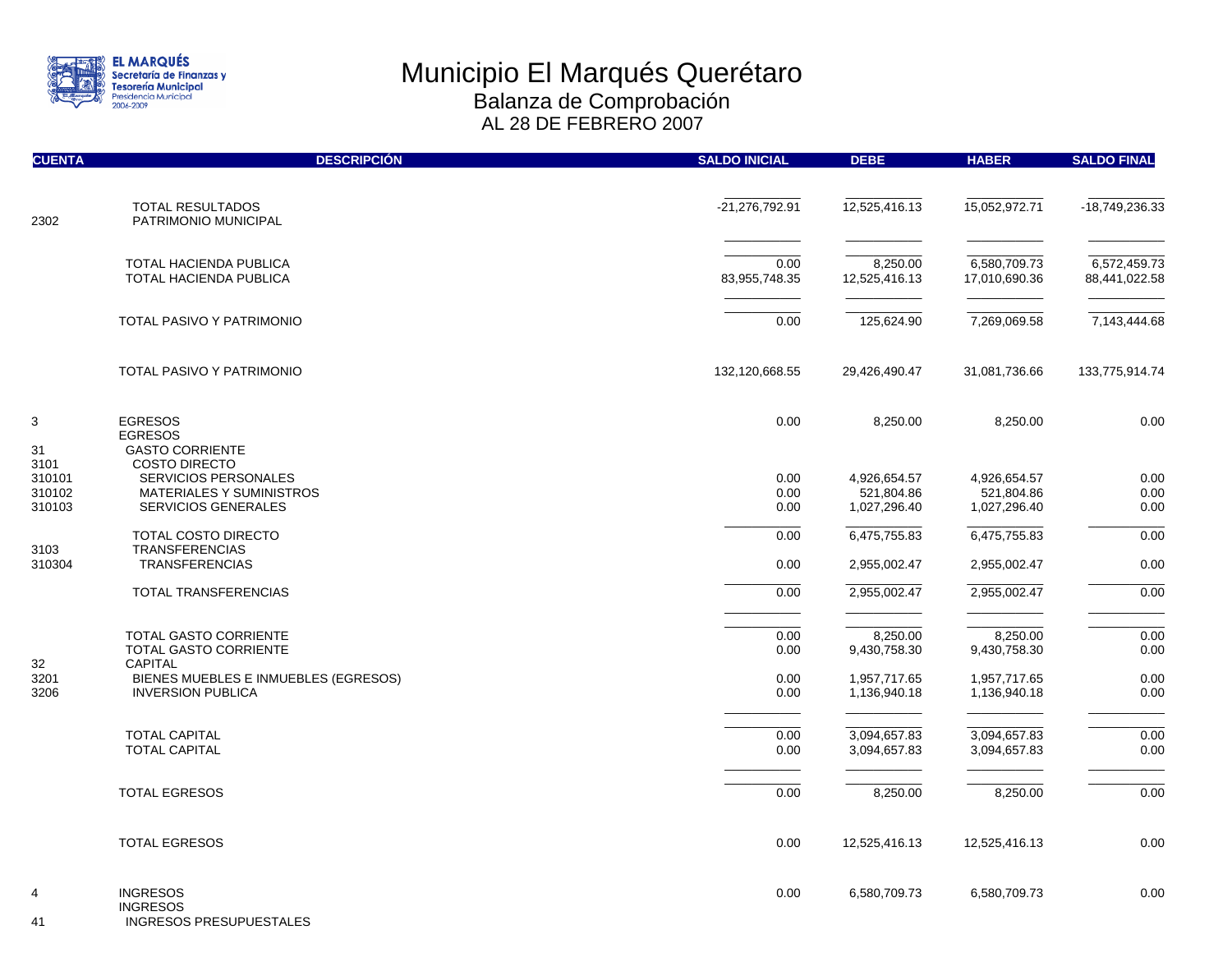

| <b>CUENTA</b>    | <b>DESCRIPCIÓN</b>                                         | <b>SALDO INICIAL</b> | <b>DEBE</b>                | <b>HABER</b>               | <b>SALDO FINAL</b> |
|------------------|------------------------------------------------------------|----------------------|----------------------------|----------------------------|--------------------|
|                  | TOTAL RESULTADOS                                           | $-21,276,792.91$     | 12,525,416.13              | 15,052,972.71              | -18,749,236.33     |
| 2302             | PATRIMONIO MUNICIPAL                                       |                      |                            |                            |                    |
|                  | TOTAL HACIENDA PUBLICA                                     | 0.00                 | 8,250.00                   | 6,580,709.73               | 6,572,459.73       |
|                  | <b>TOTAL HACIENDA PUBLICA</b>                              | 83,955,748.35        | 12,525,416.13              | 17,010,690.36              | 88,441,022.58      |
|                  | TOTAL PASIVO Y PATRIMONIO                                  | 0.00                 | 125,624.90                 | 7,269,069.58               | 7,143,444.68       |
|                  | TOTAL PASIVO Y PATRIMONIO                                  | 132,120,668.55       | 29,426,490.47              | 31,081,736.66              | 133,775,914.74     |
| 3<br>31          | <b>EGRESOS</b><br><b>EGRESOS</b><br><b>GASTO CORRIENTE</b> | 0.00                 | 8,250.00                   | 8,250.00                   | 0.00               |
| 3101             | <b>COSTO DIRECTO</b>                                       |                      |                            |                            |                    |
| 310101<br>310102 | <b>SERVICIOS PERSONALES</b><br>MATERIALES Y SUMINISTROS    | 0.00<br>0.00         | 4,926,654.57<br>521,804.86 | 4,926,654.57<br>521,804.86 | 0.00<br>0.00       |
| 310103           | <b>SERVICIOS GENERALES</b>                                 | 0.00                 | 1,027,296.40               | 1,027,296.40               | 0.00               |
| 3103             | <b>TOTAL COSTO DIRECTO</b><br><b>TRANSFERENCIAS</b>        | 0.00                 | 6,475,755.83               | 6,475,755.83               | 0.00               |
| 310304           | <b>TRANSFERENCIAS</b>                                      | 0.00                 | 2,955,002.47               | 2,955,002.47               | 0.00               |
|                  | TOTAL TRANSFERENCIAS                                       | 0.00                 | 2,955,002.47               | 2,955,002.47               | 0.00               |
|                  | <b>TOTAL GASTO CORRIENTE</b>                               | 0.00                 | 8,250.00                   | 8,250.00                   | 0.00               |
| 32               | <b>TOTAL GASTO CORRIENTE</b><br><b>CAPITAL</b>             | 0.00                 | 9,430,758.30               | 9,430,758.30               | 0.00               |
| 3201             | BIENES MUEBLES E INMUEBLES (EGRESOS)                       | 0.00                 | 1,957,717.65               | 1,957,717.65               | 0.00               |
| 3206             | <b>INVERSION PUBLICA</b>                                   | 0.00                 | 1,136,940.18               | 1,136,940.18               | 0.00               |
|                  | <b>TOTAL CAPITAL</b>                                       | 0.00                 | 3,094,657.83               | 3,094,657.83               | 0.00               |
|                  | <b>TOTAL CAPITAL</b>                                       | 0.00                 | 3,094,657.83               | 3,094,657.83               | 0.00               |
|                  | <b>TOTAL EGRESOS</b>                                       | 0.00                 | 8,250.00                   | 8,250.00                   | 0.00               |
|                  | <b>TOTAL EGRESOS</b>                                       | 0.00                 | 12,525,416.13              | 12,525,416.13              | 0.00               |
| 4                | <b>INGRESOS</b><br><b>INGRESOS</b>                         | 0.00                 | 6,580,709.73               | 6,580,709.73               | 0.00               |

41 INGRESOS PRESUPUESTALES